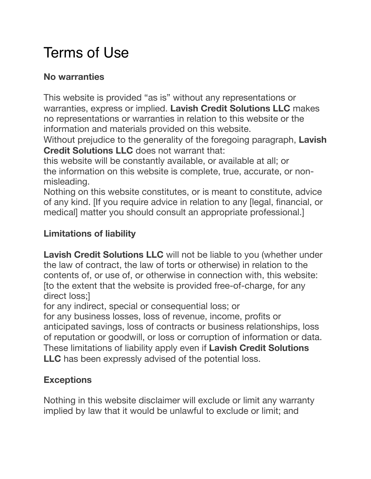# Terms of Use

## **No warranties**

This website is provided "as is" without any representations or warranties, express or implied. **Lavish Credit Solutions LLC** makes no representations or warranties in relation to this website or the information and materials provided on this website.

Without prejudice to the generality of the foregoing paragraph, **Lavish Credit Solutions LLC** does not warrant that:

this website will be constantly available, or available at all; or the information on this website is complete, true, accurate, or nonmisleading.

Nothing on this website constitutes, or is meant to constitute, advice of any kind. [If you require advice in relation to any [legal, financial, or medical] matter you should consult an appropriate professional.]

## **Limitations of liability**

**Lavish Credit Solutions LLC** will not be liable to you (whether under the law of contract, the law of torts or otherwise) in relation to the contents of, or use of, or otherwise in connection with, this website: [to the extent that the website is provided free-of-charge, for any direct loss;]

for any indirect, special or consequential loss; or

for any business losses, loss of revenue, income, profits or anticipated savings, loss of contracts or business relationships, loss of reputation or goodwill, or loss or corruption of information or data. These limitations of liability apply even if **Lavish Credit Solutions LLC** has been expressly advised of the potential loss.

## **Exceptions**

Nothing in this website disclaimer will exclude or limit any warranty implied by law that it would be unlawful to exclude or limit; and